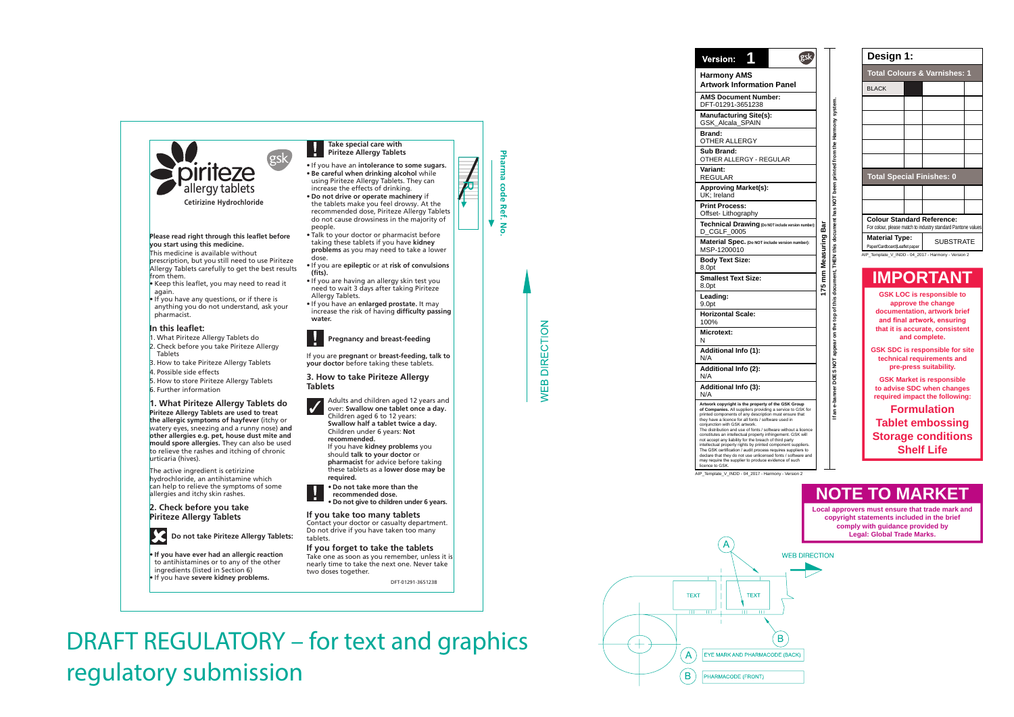

**Cetirizine Hydrochloride**

#### **Please read right through this leaflet before you start using this medicine.**

This medicine is available without prescription, but you still need to use Piriteze Allergy Tablets carefully to get the best results from them.

- Keep this leaflet, you may need to read it again.
- If you have any questions, or if there is anything you do not understand, ask your pharmacist.

# **In this leaflet:**

- 1. What Piriteze Allergy Tablets do
- 2. Check before you take Piriteze Allergy Tablets
- 3. How to take Piriteze Allergy Tablets
- 4. Possible side effects
- 5. How to store Piriteze Allergy Tablets
- 6. Further information

# **1. What Piriteze Allergy Tablets do**

**Piriteze Allergy Tablets are used to treat the allergic symptoms of hayfever** (itchy or watery eyes, sneezing and a runny nose) **and other allergies e.g. pet, house dust mite and mould spore allergies.** They can also be used to relieve the rashes and itching of chronic urticaria (hives).

The active ingredient is cetirizine hydrochloride, an antihistamine which can help to relieve the symptoms of some allergies and itchy skin rashes.

## **2. Check before you take Piriteze Allergy Tablets**



**Do not take Piriteze Allergy Tablets:**

• **If you have ever had an allergic reaction** to antihistamines or to any of the other ingredients (listed in Section 6)

• If you have **severe kidney problems.**

### **Take special care with Piriteze Allergy Tablets**

- If you have an **intolerance to some sugars.**
- **Be careful when drinking alcohol** while using Piriteze Allergy Tablets. They can increase the effects of drinking.
- **Do not drive or operate machinery** if the tablets make you feel drowsy. At the recommended dose, Piriteze Allergy Tablets do not cause drowsiness in the majority of people.
- Talk to your doctor or pharmacist before taking these tablets if you have **kidney problems** as you may need to take a lower dose.
- If you are **epileptic** or at **risk of convulsions (fits).**
- If you are having an allergy skin test you need to wait 3 days after taking Piriteze Allergy Tablets.
- If you have an **enlarged prostate.** It may increase the risk of having **difficulty passing water.**



## **Pregnancy and breast-feeding**

If you are **pregnant** or **breast-feeding, talk to your doctor** before taking these tablets.

### **3. How to take Piriteze Allergy Tablets**



Adults and children aged 12 years and over: **Swallow one tablet once a day.** Children aged 6 to 12 years: **Swallow half a tablet twice a day.** Children under 6 years: **Not recommended.** If you have **kidney problems** you

should **talk to your doctor** or **pharmacist** for advice before taking these tablets as a **lower dose may be required.**



- **Do not take more than the recommended dose.**
- **Do not give to children under 6 years.**

# **If you take too many tablets**

Contact your doctor or casualty department. Do not drive if you have taken too many tablets.

# **If you forget to take the tablets**

Take one as soon as you remember, unless it is nearly time to take the next one. Never take two doses together.